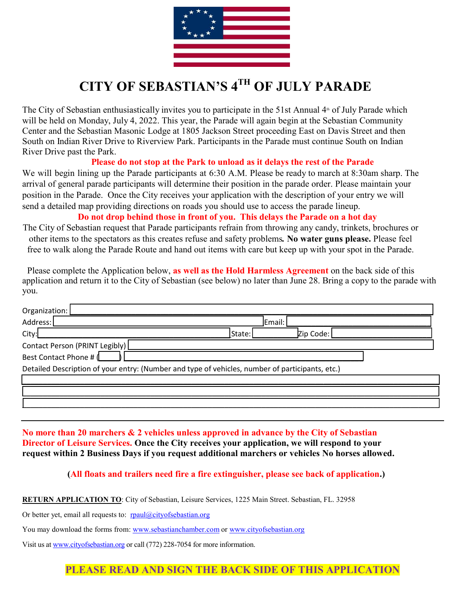

# **CITY OF SEBASTIAN'S 4TH OF JULY PARADE**

The City of Sebastian enthusiastically invites you to participate in the 51st Annual 4<sup>th</sup> of July Parade which will be held on Monday, July 4, 2022. This year, the Parade will again begin at the Sebastian Community Center and the Sebastian Masonic Lodge at 1805 Jackson Street proceeding East on Davis Street and then South on Indian River Drive to Riverview Park. Participants in the Parade must continue South on Indian River Drive past the Park.

#### **Please do not stop at the Park to unload as it delays the rest of the Parade**

We will begin lining up the Parade participants at 6:30 A.M. Please be ready to march at 8:30am sharp. The arrival of general parade participants will determine their position in the parade order. Please maintain your position in the Parade. Once the City receives your application with the description of your entry we will send a detailed map providing directions on roads you should use to access the parade lineup.

#### **Do not drop behind those in front of you. This delays the Parade on a hot day**

The City of Sebastian request that Parade participants refrain from throwing any candy, trinkets, brochures or other items to the spectators as this creates refuse and safety problems*.* **No water guns please.** Please feel free to walk along the Parade Route and hand out items with care but keep up with your spot in the Parade.

 Please complete the Application below, **as well as the Hold Harmless Agreement** on the back side of this application and return it to the City of Sebastian (see below) no later than June 28. Bring a copy to the parade with you.

| Organization:                                                                                   |        |           |  |  |  |
|-------------------------------------------------------------------------------------------------|--------|-----------|--|--|--|
| Address:                                                                                        |        | Email:    |  |  |  |
| City:                                                                                           | State: | Zip Code: |  |  |  |
| Contact Person (PRINT Legibly)                                                                  |        |           |  |  |  |
| Best Contact Phone # (                                                                          |        |           |  |  |  |
| Detailed Description of your entry: (Number and type of vehicles, number of participants, etc.) |        |           |  |  |  |
|                                                                                                 |        |           |  |  |  |
|                                                                                                 |        |           |  |  |  |
|                                                                                                 |        |           |  |  |  |

**No more than 20 marchers & 2 vehicles unless approved in advance by the City of Sebastian Director of Leisure Services. Once the City receives your application, we will respond to your request within 2 Business Days if you request additional marchers or vehicles No horses allowed.** 

#### **(All floats and trailers need fire a fire extinguisher, please see back of application.)**

**RETURN APPLICATION TO**: City of Sebastian, Leisure Services, 1225 Main Street. Sebastian, FL. 32958

Or better yet, email all requests to: [rpaul@cityofsebastian.org](mailto:rpaul@cityofsebastian.org)

You may download the forms from: [www.sebastianchamber.com](http://www.sebastianchamber.com/) or [www.cityofsebastian.org](http://www.cityofsebastian.org/)

Visit us a[t www.cityofsebastian.org](http://www.cityofsebastian.org/) or call (772) 228-7054 for more information.

## **PLEASE READ AND SIGN THE BACK SIDE OF THIS APPLICATION**